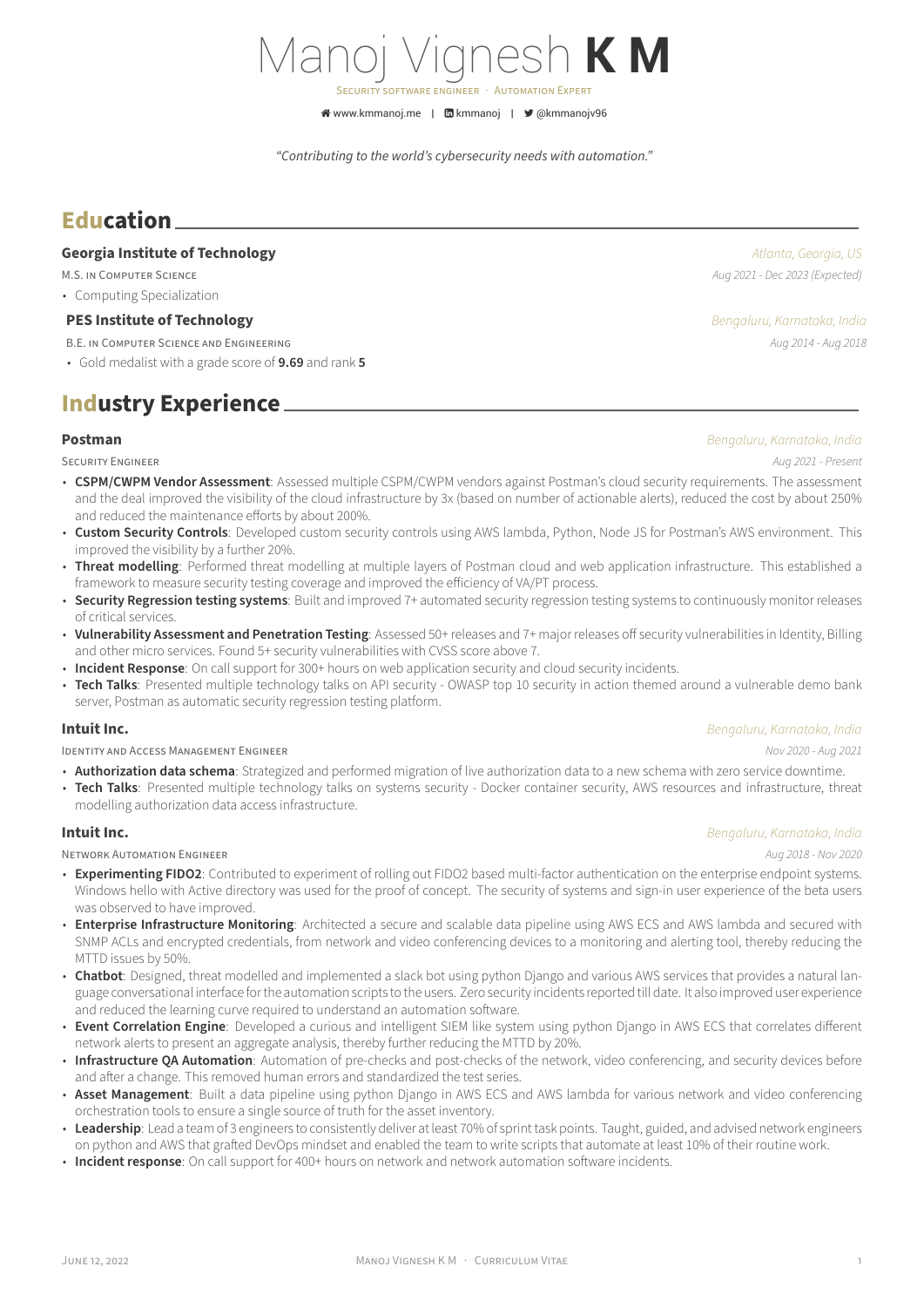# Manoj Vignesh **K M**

SECURiTY SOFTWARE ENGiNEER · AUTOMATiON EXPERT

K [www.kmmanoj.me](http://www.kmmanoj.me) | **m** [kmmanoj](https://www.linkedin.com/in/kmmanoj) | ■ [@kmmanojv96](https://twitter.com/@kmmanojv96)

*"Contributing to the world's cybersecurity needs with automation."*

## **Education**

### **Georgia Institute of Technology** *Atlanta, Georgia, US*

M.S. iN COMPUTER SCiENCE *Aug 2021 ‑ Dec 2023 (Expected)*

• Computing Specialization

### **PES Institute of Technology** *Bengaluru, Karnataka, India*

- B.E. iN COMPUTER SCiENCE AND ENGiNEERiNG *Aug 2014 ‑ Aug 2018*
- Gold medalist with a grade score of **9.69** and rank **5**

## **Industry Experience**

SECURiTY ENGiNEER *Aug 2021 ‑ Present*

- **CSPM/CWPM Vendor Assessment**: Assessed multiple CSPM/CWPM vendors against Postman's cloud security requirements. The assessment and the deal improved the visibility of the cloud infrastructure by 3x (based on number of actionable alerts), reduced the cost by about 250% and reduced the maintenance efforts by about 200%.
- **Custom Security Controls**: Developed custom security controls using AWS lambda, Python, Node JS for Postman's AWS environment. This improved the visibility by a further 20%.
- **Threat modelling**: Performed threat modelling at multiple layers of Postman cloud and web application infrastructure. This established a framework to measure security testing coverage and improved the efficiency of VA/PT process.
- **Security Regression testing systems**: Built and improved 7+ automated security regression testing systems to continuously monitor releases of critical services.
- **Vulnerability Assessment and Penetration Testing**: Assessed 50+ releases and 7+ major releases off security vulnerabilities in Identity, Billing and other micro services. Found 5+ security vulnerabilities with CVSS score above 7.
- **Incident Response**: On call support for 300+ hours on web application security and cloud security incidents.
- Tech Talks: Presented multiple technology talks on API security OWASP top 10 security in action themed around a vulnerable demo bank server, Postman as automatic security regression testing platform.

### **Intuit Inc.** *Bengaluru, Karnataka, India*

IDENTiTY AND ACCESS MANAGEMENT ENGiNEER *Nov 2020 ‑ Aug 2021*

- **Authorization data schema**: Strategized and performed migration of live authorization data to a new schema with zero service downtime.
- Tech Talks: Presented multiple technology talks on systems security Docker container security, AWS resources and infrastructure, threat modelling authorization data access infrastructure.

### **Intuit Inc.** *Bengaluru, Karnataka, India*

NETWORK AUTOMATiON ENGiNEER *Aug 2018 ‑ Nov 2020*

- Experimenting FIDO2: Contributed to experiment of rolling out FIDO2 based multi-factor authentication on the enterprise endpoint systems. Windows hello with Active directory was used for the proof of concept. The security of systems and sign-in user experience of the beta users was observed to have improved.
- **Enterprise Infrastructure Monitoring**: Architected a secure and scalable data pipeline using AWS ECS and AWS lambda and secured with SNMP ACLs and encrypted credentials, from network and video conferencing devices to a monitoring and alerting tool, thereby reducing the MTTD issues by 50%.
- Chatbot: Designed, threat modelled and implemented a slack bot using python Django and various AWS services that provides a natural language conversational interface for the automation scripts to the users. Zero security incidents reported till date. It also improved user experience and reduced the learning curve required to understand an automation software.
- **Event Correlation Engine**: Developed a curious and intelligent SIEM like system using python Django in AWS ECS that correlates different network alerts to present an aggregate analysis, thereby further reducing the MTTD by 20%.
- Infrastructure QA Automation: Automation of pre-checks and post-checks of the network, video conferencing, and security devices before and after a change. This removed human errors and standardized the test series.
- **Asset Management**: Built a data pipeline using python Django in AWS ECS and AWS lambda for various network and video conferencing orchestration tools to ensure a single source of truth for the asset inventory.
- **Leadership**: Lead a team of 3 engineers to consistently deliver at least 70% of sprint task points. Taught, guided, and advised network engineers on python and AWS that grafted DevOps mindset and enabled the team to write scripts that automate at least 10% of their routine work.
- **Incident response**: On call support for 400+ hours on network and network automation software incidents.

**Postman** *Bengaluru, Karnataka, India*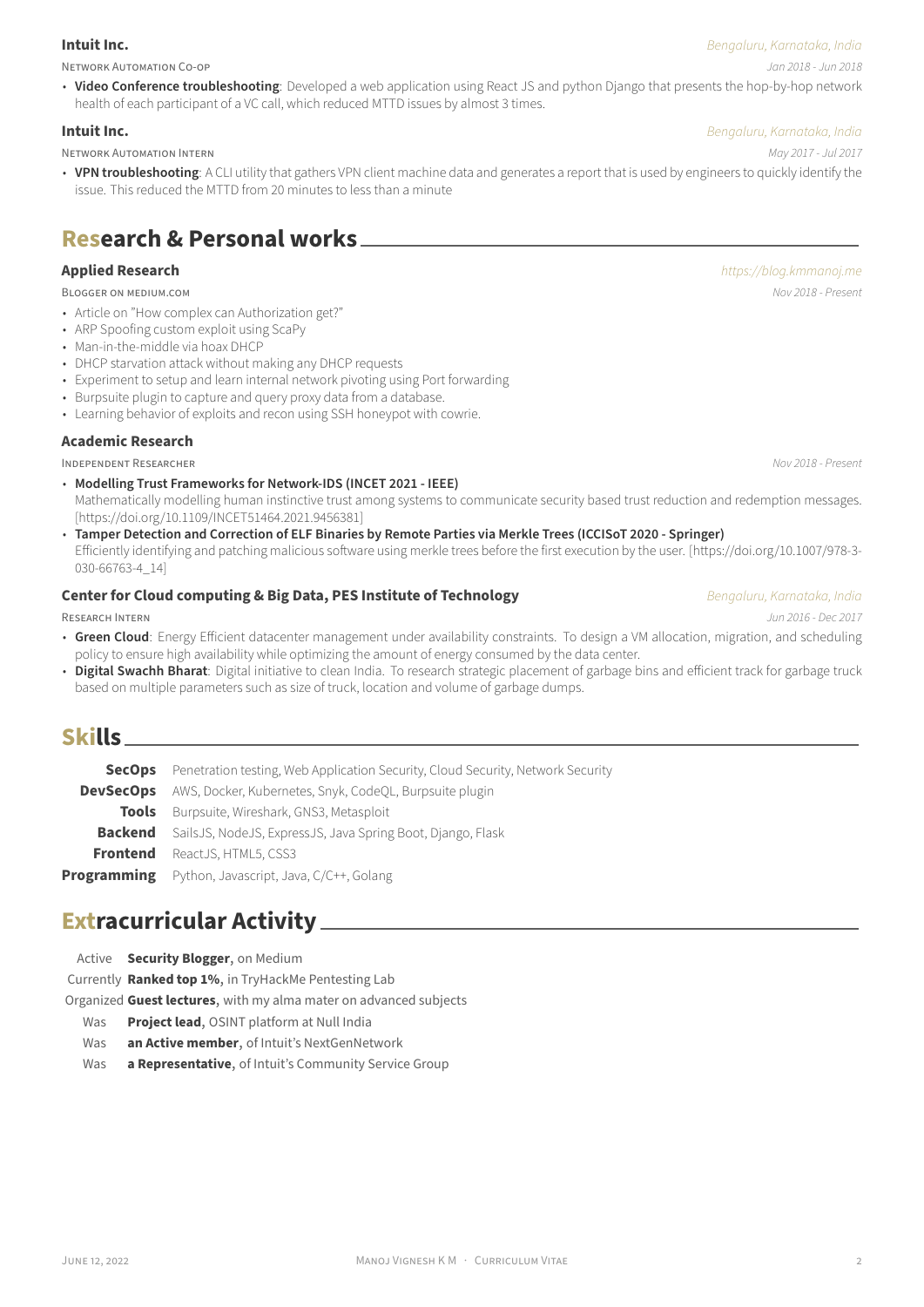### **Intuit Inc.** *Bengaluru, Karnataka, India*

NETWORK AUTOMATiON CO‑OP *Jan 2018 ‑ Jun 2018*

## • Video Conference troubleshooting: Developed a web application using React JS and python Django that presents the hop-by-hop network health of each participant of a VC call, which reduced MTTD issues by almost 3 times.

### **Intuit Inc.** *Bengaluru, Karnataka, India*

NETWORK AUTOMATiON INTERN *May 2017 ‑ Jul 2017*

• **VPN troubleshooting**: A CLI utility that gathers VPN client machine data and generates a report that is used by engineers to quickly identify the issue. This reduced the MTTD from 20 minutes to less than a minute

## **Research & Personal works**

- Article on "How complex can Authorization get?"
- ARP Spoofing custom exploit using ScaPy
- Man-in-the-middle via hoax DHCP
- DHCP starvation attack without making any DHCP requests
- Experiment to setup and learn internal network pivoting using Port forwarding
- Burpsuite plugin to capture and query proxy data from a database.
- Learning behavior of exploits and recon using SSH honeypot with cowrie.

## **Academic Research**

INDEPENDENT RESEARCHER *Nov 2018 ‑ Present*

• **Modelling Trust Frameworks for Network‑IDS (INCET 2021 ‑ IEEE)**

Mathematically modelling human instinctive trust among systems to communicate security based trust reduction and redemption messages. [[https://doi.org/10.1109/INCET51464.2021.9456381\]](https://doi.org/10.1109/INCET51464.2021.9456381 )

- **Tamper Detection and Correction of ELF Binaries by Remote Parties via Merkle Trees (ICCISoT 2020 ‑ Springer)**
- Efficiently identifying and patching malicious software using merkle trees before the first execution by the user.[[https://doi.org/10.1007/978‑3‑](https://doi.org/10.1007/978-3-030-66763-4_14) [030‑66763‑4\\_14](https://doi.org/10.1007/978-3-030-66763-4_14)]

## **Center for Cloud computing & Big Data, PES Institute of Technology Bengaluru, Karnataka, India**

RESEARCH INTERN *Jun 2016 ‑ Dec 2017*

- **Green Cloud**: Energy Efficient datacenter management under availability constraints. To design a VM allocation, migration, and scheduling policy to ensure high availability while optimizing the amount of energy consumed by the data center.
- **Digital Swachh Bharat**: Digital initiative to clean India. To research strategic placement of garbage bins and efficient track for garbage truck based on multiple parameters such as size of truck, location and volume of garbage dumps.

## **Skills**

| <b>SecOps</b> Penetration testing, Web Application Security, Cloud Security, Network Security |
|-----------------------------------------------------------------------------------------------|
| <b>DevSecOps</b> AWS, Docker, Kubernetes, Snyk, CodeOL, Burpsuite plugin                      |
| <b>Tools</b> Burpsuite, Wireshark, GNS3, Metasploit                                           |
| <b>Backend</b> SailsJS, NodeJS, ExpressJS, Java Spring Boot, Diango, Flask                    |
| <b>Frontend</b> ReactJS, HTML5, CSS3                                                          |
| <b>Programming</b> Python, Javascript, Java, C/C++, Golang                                    |

## **Extracurricular Activity**

Active **Security Blogger**, on Medium

Currently **Ranked top 1%**, in TryHackMe Pentesting Lab

Organized **Guest lectures**, with my alma mater on advanced subjects

- Was **Project lead**, OSINT platform at Null India
- Was **an Active member**, of Intuit's NextGenNetwork
- Was **a Representative**, of Intuit's Community Service Group

**Applied Research** *<https://blog.kmmanoj.me>* BLOGGER ON MEDiUM.COM *Nov 2018 ‑ Present*